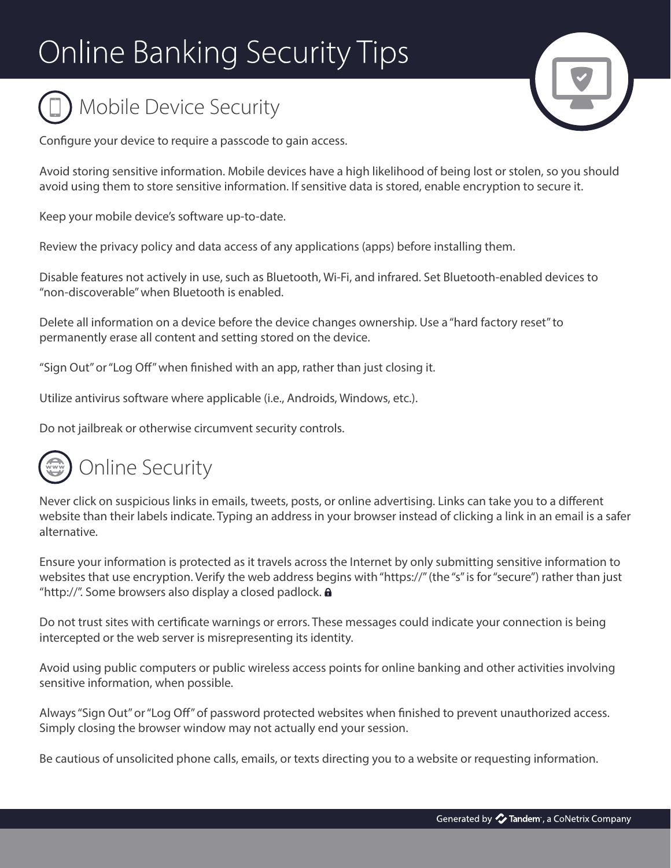## **Online Banking Security Tips**





Configure your device to require a passcode to gain access.

Avoid storing sensitive information. Mobile devices have a high likelihood of being lost or stolen, so you should avoid using them to store sensitive information. If sensitive data is stored, enable encryption to secure it.

Keep your mobile device's software up-to-date.

Review the privacy policy and data access of any applications (apps) before installing them.

Disable features not actively in use, such as Bluetooth, Wi-Fi, and infrared. Set Bluetooth-enabled devices to "non-discoverable" when Bluetooth is enabled.

Delete all information on a device before the device changes ownership. Use a "hard factory reset" to permanently erase all content and setting stored on the device.

"Sign Out" or "Log Off" when finished with an app, rather than just closing it.

Utilize antivirus software where applicable (i.e., Androids, Windows, etc.).

Do not jailbreak or otherwise circumvent security controls.



Never click on suspicious links in emails, tweets, posts, or online advertising. Links can take you to a different website than their labels indicate. Typing an address in your browser instead of clicking a link in an email is a safer alternative.

Ensure your information is protected as it travels across the Internet by only submitting sensitive information to websites that use encryption. Verify the web address begins with "https://" (the "s" is for "secure") rather than just "http://". Some browsers also display a closed padlock. **a** 

Do not trust sites with certificate warnings or errors. These messages could indicate your connection is being intercepted or the web server is misrepresenting its identity.

Avoid using public computers or public wireless access points for online banking and other activities involving sensitive information, when possible.

Always "Sign Out" or "Log Off" of password protected websites when finished to prevent unauthorized access. Simply closing the browser window may not actually end your session.

Be cautious of unsolicited phone calls, emails, or texts directing you to a website or requesting information.